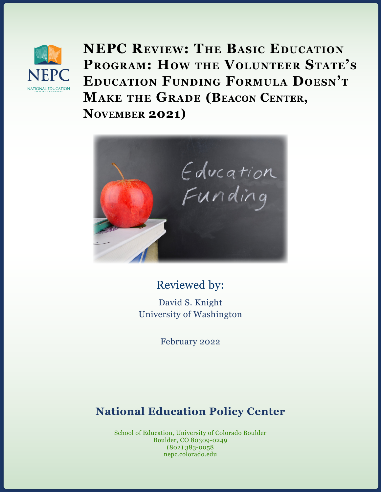

**NEPC Review: The Basic Education Program: How the Volunteer State's Education Funding Formula Doesn't Make the Grade (Beacon Center, November 2021)**



## Reviewed by:

David S. Knight University of Washington

February 2022

# **National Education Policy Center**

School of Education, University of Colorado Boulder Boulder, CO 80309-0249 (802) 383-0058 nepc.colorado.edu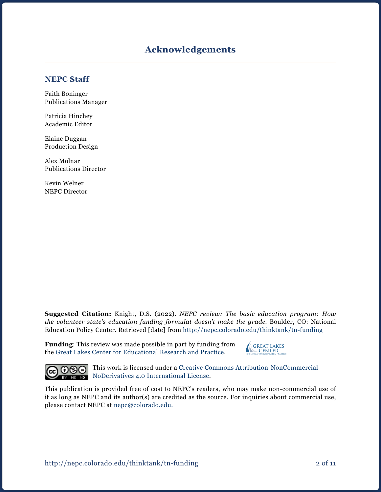### **Acknowledgements**

#### **NEPC Staff**

Faith Boninger Publications Manager

Patricia Hinchey Academic Editor

Elaine Duggan Production Design

Alex Molnar Publications Director

Kevin Welner NEPC Director

**Suggested Citation:** Knight, D.S. (2022). *NEPC review: The basic education program: How the volunteer state's education funding formulat doesn't make the grade.* Boulder, CO: National Education Policy Center. Retrieved [date] from [http://nepc.colorado.edu/thinktank/](http://nepc.colorado.edu/thinktank/tn-funding)tn-funding

**Funding**: This review was made possible in part by funding from the [Great Lakes Center for Educational Research and Practice](http://www.greatlakescenter.org).

**GREAT LAKES CENTER** For Education Research & Practice



This work is licensed under a [Creative Commons Attribution-NonCommercial-](https://creativecommons.org/licenses/by-nc-nd/4.0/)BY NODER NODER NODER NODER NO International License.

This publication is provided free of cost to NEPC's readers, who may make non-commercial use of it as long as NEPC and its author(s) are credited as the source. For inquiries about commercial use, please contact NEPC at [nepc@colorado.edu](mailto:nepc%40colorado.edu?subject=).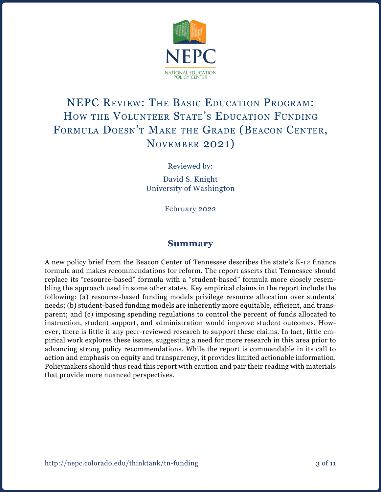

# NEPC Review: The Basic Education Program: How the Volunteer State's Education Funding Formula Doesn't Make the Grade (Beacon Center, November 2021)

Reviewed by:

David S. Knight University of Washington

February 2022

#### **Summary**

A new policy brief from the Beacon Center of Tennessee describes the state's K-12 finance formula and makes recommendations for reform. The report asserts that Tennessee should replace its "resource-based" formula with a "student-based" formula more closely resembling the approach used in some other states. Key empirical claims in the report include the following: (a) resource-based funding models privilege resource allocation over students' needs; (b) student-based funding models are inherently more equitable, efficient, and transparent; and (c) imposing spending regulations to control the percent of funds allocated to instruction, student support, and administration would improve student outcomes. However, there is little if any peer-reviewed research to support these claims. In fact, little empirical work explores these issues, suggesting a need for more research in this area prior to advancing strong policy recommendations. While the report is commendable in its call to action and emphasis on equity and transparency, it provides limited actionable information. Policymakers should thus read this report with caution and pair their reading with materials that provide more nuanced perspectives.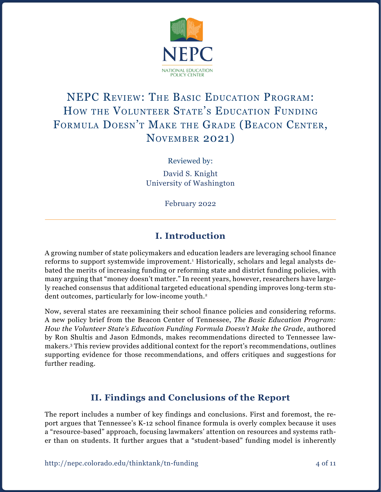

# NEPC Review: The Basic Education Program: HOW THE VOLUNTEER STATE'S EDUCATION FUNDING Formula Doesn't Make the Grade (Beacon Center, November 2021)

Reviewed by:

David S. Knight University of Washington

February 2022

## **I. Introduction**

A growing number of state policymakers and education leaders are leveraging school finance reforms to support systemwide improvement.<sup>1</sup> Historically, scholars and legal analysts debated the merits of increasing funding or reforming state and district funding policies, with many arguing that "money doesn't matter." In recent years, however, researchers have largely reached consensus that additional targeted educational spending improves long-term student outcomes, particularly for low-income youth.<sup>2</sup>

Now, several states are reexamining their school finance policies and considering reforms. A new policy brief from the Beacon Center of Tennessee, *The Basic Education Program: How the Volunteer State's Education Funding Formula Doesn't Make the Grade*, authored by Ron Shultis and Jason Edmonds, makes recommendations directed to Tennessee lawmakers.3 This review provides additional context for the report's recommendations, outlines supporting evidence for those recommendations, and offers critiques and suggestions for further reading.

## **II. Findings and Conclusions of the Report**

The report includes a number of key findings and conclusions. First and foremost, the report argues that Tennessee's K-12 school finance formula is overly complex because it uses a "resource-based" approach, focusing lawmakers' attention on resources and systems rather than on students. It further argues that a "student-based" funding model is inherently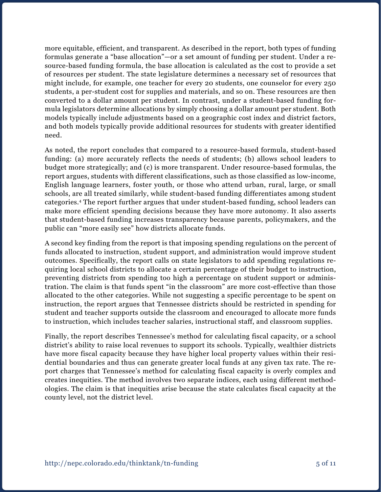more equitable, efficient, and transparent. As described in the report, both types of funding formulas generate a "base allocation"—or a set amount of funding per student. Under a resource-based funding formula, the base allocation is calculated as the cost to provide a set of resources per student. The state legislature determines a necessary set of resources that might include, for example, one teacher for every 20 students, one counselor for every 250 students, a per-student cost for supplies and materials, and so on. These resources are then converted to a dollar amount per student. In contrast, under a student-based funding formula legislators determine allocations by simply choosing a dollar amount per student. Both models typically include adjustments based on a geographic cost index and district factors, and both models typically provide additional resources for students with greater identified need.

As noted, the report concludes that compared to a resource-based formula, student-based funding: (a) more accurately reflects the needs of students; (b) allows school leaders to budget more strategically; and (c) is more transparent. Under resource-based formulas, the report argues, students with different classifications, such as those classified as low-income, English language learners, foster youth, or those who attend urban, rural, large, or small schools, are all treated similarly, while student-based funding differentiates among student categories.4 The report further argues that under student-based funding, school leaders can make more efficient spending decisions because they have more autonomy. It also asserts that student-based funding increases transparency because parents, policymakers, and the public can "more easily see" how districts allocate funds.

A second key finding from the report is that imposing spending regulations on the percent of funds allocated to instruction, student support, and administration would improve student outcomes. Specifically, the report calls on state legislators to add spending regulations requiring local school districts to allocate a certain percentage of their budget to instruction, preventing districts from spending too high a percentage on student support or administration. The claim is that funds spent "in the classroom" are more cost-effective than those allocated to the other categories. While not suggesting a specific percentage to be spent on instruction, the report argues that Tennessee districts should be restricted in spending for student and teacher supports outside the classroom and encouraged to allocate more funds to instruction, which includes teacher salaries, instructional staff, and classroom supplies.

Finally, the report describes Tennessee's method for calculating fiscal capacity, or a school district's ability to raise local revenues to support its schools. Typically, wealthier districts have more fiscal capacity because they have higher local property values within their residential boundaries and thus can generate greater local funds at any given tax rate. The report charges that Tennessee's method for calculating fiscal capacity is overly complex and creates inequities. The method involves two separate indices, each using different methodologies. The claim is that inequities arise because the state calculates fiscal capacity at the county level, not the district level.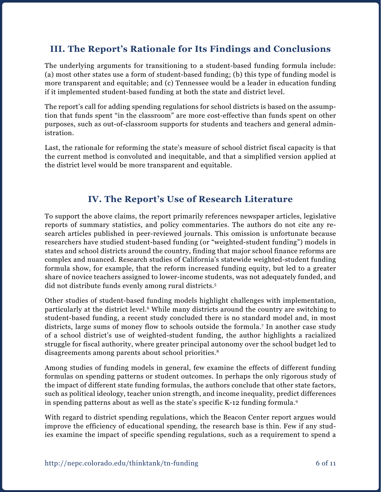### **III. The Report's Rationale for Its Findings and Conclusions**

The underlying arguments for transitioning to a student-based funding formula include: (a) most other states use a form of student-based funding; (b) this type of funding model is more transparent and equitable; and (c) Tennessee would be a leader in education funding if it implemented student-based funding at both the state and district level.

The report's call for adding spending regulations for school districts is based on the assumption that funds spent "in the classroom" are more cost-effective than funds spent on other purposes, such as out-of-classroom supports for students and teachers and general administration.

Last, the rationale for reforming the state's measure of school district fiscal capacity is that the current method is convoluted and inequitable, and that a simplified version applied at the district level would be more transparent and equitable.

### **IV. The Report's Use of Research Literature**

To support the above claims, the report primarily references newspaper articles, legislative reports of summary statistics, and policy commentaries. The authors do not cite any research articles published in peer-reviewed journals. This omission is unfortunate because researchers have studied student-based funding (or "weighted-student funding") models in states and school districts around the country, finding that major school finance reforms are complex and nuanced. Research studies of California's statewide weighted-student funding formula show, for example, that the reform increased funding equity, but led to a greater share of novice teachers assigned to lower-income students, was not adequately funded, and did not distribute funds evenly among rural districts.5

Other studies of student-based funding models highlight challenges with implementation, particularly at the district level.6 While many districts around the country are switching to student-based funding, a recent study concluded there is no standard model and, in most districts, large sums of money flow to schools outside the formula.<sup>7</sup> In another case study of a school district's use of weighted-student funding, the author highlights a racialized struggle for fiscal authority, where greater principal autonomy over the school budget led to disagreements among parents about school priorities.<sup>8</sup>

Among studies of funding models in general, few examine the effects of different funding formulas on spending patterns or student outcomes. In perhaps the only rigorous study of the impact of different state funding formulas, the authors conclude that other state factors, such as political ideology, teacher union strength, and income inequality, predict differences in spending patterns about as well as the state's specific K-12 funding formula.9

With regard to district spending regulations, which the Beacon Center report argues would improve the efficiency of educational spending, the research base is thin. Few if any studies examine the impact of specific spending regulations, such as a requirement to spend a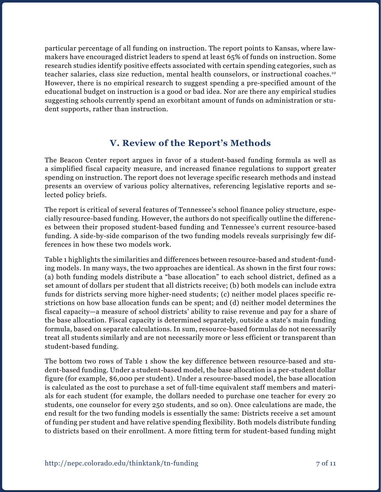particular percentage of all funding on instruction. The report points to Kansas, where lawmakers have encouraged district leaders to spend at least 65% of funds on instruction. Some research studies identify positive effects associated with certain spending categories, such as teacher salaries, class size reduction, mental health counselors, or instructional coaches.10 However, there is no empirical research to suggest spending a pre-specified amount of the educational budget on instruction is a good or bad idea. Nor are there any empirical studies suggesting schools currently spend an exorbitant amount of funds on administration or student supports, rather than instruction.

## **V. Review of the Report's Methods**

The Beacon Center report argues in favor of a student-based funding formula as well as a simplified fiscal capacity measure, and increased finance regulations to support greater spending on instruction. The report does not leverage specific research methods and instead presents an overview of various policy alternatives, referencing legislative reports and selected policy briefs.

The report is critical of several features of Tennessee's school finance policy structure, especially resource-based funding. However, the authors do not specifically outline the differences between their proposed student-based funding and Tennessee's current resource-based funding. A side-by-side comparison of the two funding models reveals surprisingly few differences in how these two models work.

Table 1 highlights the similarities and differences between resource-based and student-funding models. In many ways, the two approaches are identical. As shown in the first four rows: (a) both funding models distribute a "base allocation" to each school district, defined as a set amount of dollars per student that all districts receive; (b) both models can include extra funds for districts serving more higher-need students; (c) neither model places specific restrictions on how base allocation funds can be spent; and (d) neither model determines the fiscal capacity—a measure of school districts' ability to raise revenue and pay for a share of the base allocation. Fiscal capacity is determined separately, outside a state's main funding formula, based on separate calculations. In sum, resource-based formulas do not necessarily treat all students similarly and are not necessarily more or less efficient or transparent than student-based funding.

The bottom two rows of Table 1 show the key difference between resource-based and student-based funding. Under a student-based model, the base allocation is a per-student dollar figure (for example, \$6,000 per student). Under a resource-based model, the base allocation is calculated as the cost to purchase a set of full-time equivalent staff members and materials for each student (for example, the dollars needed to purchase one teacher for every 20 students, one counselor for every 250 students, and so on). Once calculations are made, the end result for the two funding models is essentially the same: Districts receive a set amount of funding per student and have relative spending flexibility. Both models distribute funding to districts based on their enrollment. A more fitting term for student-based funding might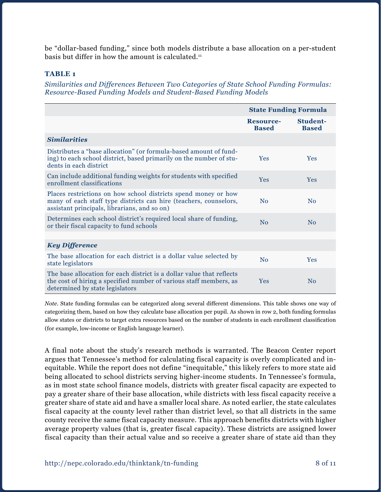be "dollar-based funding," since both models distribute a base allocation on a per-student basis but differ in how the amount is calculated. $11$ 

#### **TABLE 1**

*Similarities and Differences Between Two Categories of State School Funding Formulas: Resource-Based Funding Models and Student-Based Funding Models*

|                                                                                                                                                                                     | <b>State Funding Formula</b>     |                          |
|-------------------------------------------------------------------------------------------------------------------------------------------------------------------------------------|----------------------------------|--------------------------|
|                                                                                                                                                                                     | <b>Resource-</b><br><b>Based</b> | Student-<br><b>Based</b> |
| <b>Similarities</b>                                                                                                                                                                 |                                  |                          |
| Distributes a "base allocation" (or formula-based amount of fund-<br>ing) to each school district, based primarily on the number of stu-<br>dents in each district                  | <b>Yes</b>                       | <b>Yes</b>               |
| Can include additional funding weights for students with specified<br>enrollment classifications                                                                                    | <b>Yes</b>                       | <b>Yes</b>               |
| Places restrictions on how school districts spend money or how<br>many of each staff type districts can hire (teachers, counselors,<br>assistant principals, librarians, and so on) | No                               | No                       |
| Determines each school district's required local share of funding,<br>or their fiscal capacity to fund schools                                                                      | No                               | No                       |
|                                                                                                                                                                                     |                                  |                          |
| <b>Key Difference</b>                                                                                                                                                               |                                  |                          |
| The base allocation for each district is a dollar value selected by<br>state legislators                                                                                            | No                               | <b>Yes</b>               |
| The base allocation for each district is a dollar value that reflects<br>the cost of hiring a specified number of various staff members, as<br>determined by state legislators      | <b>Yes</b>                       | No                       |

*Note*. State funding formulas can be categorized along several different dimensions. This table shows one way of categorizing them, based on how they calculate base allocation per pupil. As shown in row 2, both funding formulas allow states or districts to target extra resources based on the number of students in each enrollment classification (for example, low-income or English language learner).

A final note about the study's research methods is warranted. The Beacon Center report argues that Tennessee's method for calculating fiscal capacity is overly complicated and inequitable. While the report does not define "inequitable," this likely refers to more state aid being allocated to school districts serving higher-income students. In Tennessee's formula, as in most state school finance models, districts with greater fiscal capacity are expected to pay a greater share of their base allocation, while districts with less fiscal capacity receive a greater share of state aid and have a smaller local share. As noted earlier, the state calculates fiscal capacity at the county level rather than district level, so that all districts in the same county receive the same fiscal capacity measure. This approach benefits districts with higher average property values (that is, greater fiscal capacity). These districts are assigned lower fiscal capacity than their actual value and so receive a greater share of state aid than they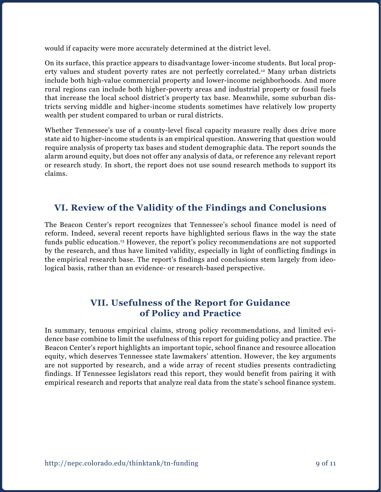would if capacity were more accurately determined at the district level.

On its surface, this practice appears to disadvantage lower-income students. But local property values and student poverty rates are not perfectly correlated.12 Many urban districts include both high-value commercial property and lower-income neighborhoods. And more rural regions can include both higher-poverty areas and industrial property or fossil fuels that increase the local school district's property tax base. Meanwhile, some suburban districts serving middle and higher-income students sometimes have relatively low property wealth per student compared to urban or rural districts.

Whether Tennessee's use of a county-level fiscal capacity measure really does drive more state aid to higher-income students is an empirical question. Answering that question would require analysis of property tax bases and student demographic data. The report sounds the alarm around equity, but does not offer any analysis of data, or reference any relevant report or research study. In short, the report does not use sound research methods to support its claims.

### **VI. Review of the Validity of the Findings and Conclusions**

The Beacon Center's report recognizes that Tennessee's school finance model is need of reform. Indeed, several recent reports have highlighted serious flaws in the way the state funds public education.<sup>13</sup> However, the report's policy recommendations are not supported by the research, and thus have limited validity, especially in light of conflicting findings in the empirical research base. The report's findings and conclusions stem largely from ideological basis, rather than an evidence- or research-based perspective.

### **VII. Usefulness of the Report for Guidance of Policy and Practice**

In summary, tenuous empirical claims, strong policy recommendations, and limited evidence base combine to limit the usefulness of this report for guiding policy and practice. The Beacon Center's report highlights an important topic, school finance and resource allocation equity, which deserves Tennessee state lawmakers' attention. However, the key arguments are not supported by research, and a wide array of recent studies presents contradicting findings. If Tennessee legislators read this report, they would benefit from pairing it with empirical research and reports that analyze real data from the state's school finance system.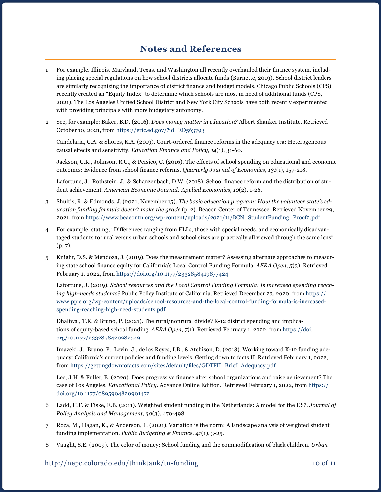#### **Notes and References**

- 1 For example, Illinois, Maryland, Texas, and Washington all recently overhauled their finance system, including placing special regulations on how school districts allocate funds (Burnette, 2019). School district leaders are similarly recognizing the importance of district finance and budget models. Chicago Public Schools (CPS) recently created an "Equity Index" to determine which schools are most in need of additional funds (CPS, 2021). The Los Angeles Unified School District and New York City Schools have both recently experimented with providing principals with more budgetary autonomy.
- 2 See, for example: Baker, B.D. (2016). *Does money matter in education?* Albert Shanker Institute. Retrieved October 10, 2021, from <https://eric.ed.gov/?id=ED563793>

Candelaria, C.A. & Shores, K.A. (2019). Court-ordered finance reforms in the adequacy era: Heterogeneous causal effects and sensitivity. *Education Finance and Policy, 14*(1), 31-60.

Jackson, C.K., Johnson, R.C., & Persico, C. (2016). The effects of school spending on educational and economic outcomes: Evidence from school finance reforms. *Quarterly Journal of Economics, 131*(1), 157-218.

Lafortune, J., Rothstein, J., & Schanzenbach, D.W. (2018). School finance reform and the distribution of student achievement. *American Economic Journal: Applied Economics, 10*(2), 1-26.

- 3 Shultis, R. & Edmonds, J. (2021, November 15). *The basic education program: How the volunteer state's education funding formula doesn't make the grade* (p. 2). Beacon Center of Tennessee. Retrieved November 29, 2021, from [https://www.beacontn.org/wp-content/uploads/2021/11/BCN\\_StudentFunding\\_Proof2.pdf](https://www.beacontn.org/wp-content/uploads/2021/11/BCN_StudentFunding_Proof2.pdf)
- 4 For example, stating, "Differences ranging from ELLs, those with special needs, and economically disadvantaged students to rural versus urban schools and school sizes are practically all viewed through the same lens" (p. 7).
- 5 Knight, D.S. & Mendoza, J. (2019). Does the measurement matter? Assessing alternate approaches to measuring state school finance equity for California's Local Control Funding Formula. *AERA Open, 5*(3). Retrieved February 1, 2022, from <https://doi.org/10.1177/2332858419877424>

Lafortune, J. (2019). *School resources and the Local Control Funding Formula: Is increased spending reaching high-needs students?* Public Policy Institute of California. Retrieved December 23, 2020, from [https://](https://www.ppic.org/wp-content/uploads/school-resources-and-the-local-control-funding-formula-is-increased-spending-reaching-high-need-students.pdf) [www.ppic.org/wp-content/uploads/school-resources-and-the-local-control-funding-formula-is-increased](https://www.ppic.org/wp-content/uploads/school-resources-and-the-local-control-funding-formula-is-increased-spending-reaching-high-need-students.pdf)[spending-reaching-high-need-students.pdf](https://www.ppic.org/wp-content/uploads/school-resources-and-the-local-control-funding-formula-is-increased-spending-reaching-high-need-students.pdf) 

Dhaliwal, T.K. & Bruno, P. (2021). The rural/nonrural divide? K-12 district spending and implications of equity-based school funding. *AERA Open, 7*(1). Retrieved February 1, 2022, from [https://doi.](https://doi.org/10.1177/2332858420982549) [org/10.1177/2332858420982549](https://doi.org/10.1177/2332858420982549)

Imazeki, J., Bruno, P., Levin, J., de los Reyes, I.B., & Atchison, D. (2018). Working toward K-12 funding adequacy: California's current policies and funding levels. Getting down to facts II. Retrieved February 1, 2022, from [https://gettingdowntofacts.com/sites/default/files/GDTFII\\_Brief\\_Adequacy.pdf](https://gettingdowntofacts.com/sites/default/files/GDTFII_Brief_Adequacy.pdf)

Lee, J.H. & Fuller, B. (2020). Does progressive finance alter school organizations and raise achievement? The case of Los Angeles. *Educational Policy*. Advance Online Edition. Retrieved February 1, 2022, from [https://](https://doi.org/10.1177/0895904820901472) [doi.org/10.1177/0895904820901472](https://doi.org/10.1177/0895904820901472)

- 6 Ladd, H.F. & Fiske, E.B. (2011). Weighted student funding in the Netherlands: A model for the US?. *Journal of Policy Analysis and Management, 30*(3), 470-498.
- 7 Roza, M., Hagan, K., & Anderson, L. (2021). Variation is the norm: A landscape analysis of weighted student funding implementation. *Public Budgeting & Finance, 41*(1), 3-25.
- 8 Vaught, S.E. (2009). The color of money: School funding and the commodification of black children. *Urban*

#### http://nepc.colorado.edu/thinktank/tn-funding 10 of 11